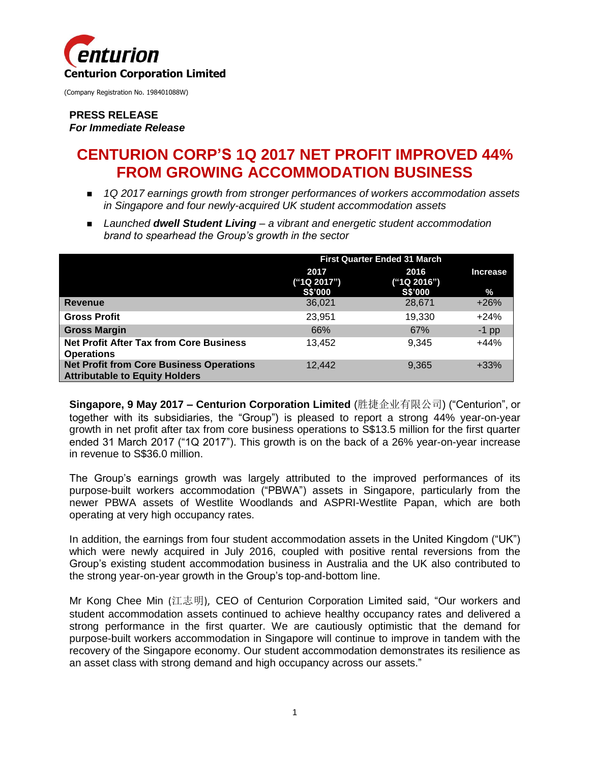

#### **PRESS RELEASE** *For Immediate Release*

# **CENTURION CORP'S 1Q 2017 NET PROFIT IMPROVED 44% FROM GROWING ACCOMMODATION BUSINESS**

- *1Q 2017 earnings growth from stronger performances of workers accommodation assets in Singapore and four newly-acquired UK student accommodation assets*
- *Launched dwell Student Living – a vibrant and energetic student accommodation brand to spearhead the Group's growth in the sector*

|                                                                                          | <b>First Quarter Ended 31 March</b>   |                                       |                         |
|------------------------------------------------------------------------------------------|---------------------------------------|---------------------------------------|-------------------------|
|                                                                                          | 2017<br>("1Q 2017")<br><b>S\$'000</b> | 2016<br>("1Q 2016")<br><b>S\$'000</b> | <b>Increase</b><br>$\%$ |
| <b>Revenue</b>                                                                           | 36,021                                | 28,671                                | $+26%$                  |
| <b>Gross Profit</b>                                                                      | 23,951                                | 19,330                                | $+24%$                  |
| <b>Gross Margin</b>                                                                      | 66%                                   | 67%                                   | $-1$ pp                 |
| <b>Net Profit After Tax from Core Business</b><br><b>Operations</b>                      | 13.452                                | 9.345                                 | $+44%$                  |
| <b>Net Profit from Core Business Operations</b><br><b>Attributable to Equity Holders</b> | 12,442                                | 9,365                                 | $+33%$                  |

**Singapore, 9 May 2017 – Centurion Corporation Limited** (胜捷企业有限公司) ("Centurion", or together with its subsidiaries, the "Group") is pleased to report a strong 44% year-on-year growth in net profit after tax from core business operations to S\$13.5 million for the first quarter ended 31 March 2017 ("1Q 2017"). This growth is on the back of a 26% year-on-year increase in revenue to S\$36.0 million.

The Group's earnings growth was largely attributed to the improved performances of its purpose-built workers accommodation ("PBWA") assets in Singapore, particularly from the newer PBWA assets of Westlite Woodlands and ASPRI-Westlite Papan, which are both operating at very high occupancy rates.

In addition, the earnings from four student accommodation assets in the United Kingdom ("UK") which were newly acquired in July 2016, coupled with positive rental reversions from the Group's existing student accommodation business in Australia and the UK also contributed to the strong year-on-year growth in the Group's top-and-bottom line.

Mr Kong Chee Min (江志明), CEO of Centurion Corporation Limited said, "Our workers and student accommodation assets continued to achieve healthy occupancy rates and delivered a strong performance in the first quarter. We are cautiously optimistic that the demand for purpose-built workers accommodation in Singapore will continue to improve in tandem with the recovery of the Singapore economy. Our student accommodation demonstrates its resilience as an asset class with strong demand and high occupancy across our assets."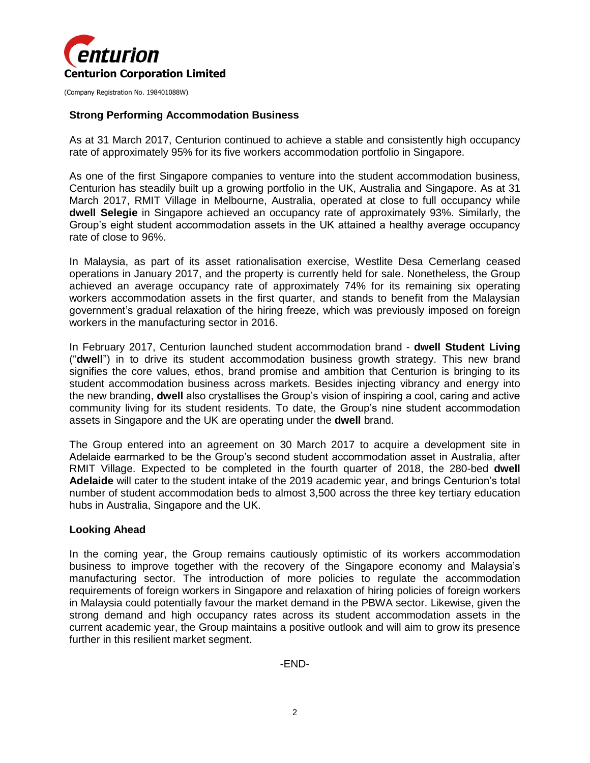

#### **Strong Performing Accommodation Business**

As at 31 March 2017, Centurion continued to achieve a stable and consistently high occupancy rate of approximately 95% for its five workers accommodation portfolio in Singapore.

As one of the first Singapore companies to venture into the student accommodation business, Centurion has steadily built up a growing portfolio in the UK, Australia and Singapore. As at 31 March 2017, RMIT Village in Melbourne, Australia, operated at close to full occupancy while **dwell Selegie** in Singapore achieved an occupancy rate of approximately 93%. Similarly, the Group's eight student accommodation assets in the UK attained a healthy average occupancy rate of close to 96%.

In Malaysia, as part of its asset rationalisation exercise, Westlite Desa Cemerlang ceased operations in January 2017, and the property is currently held for sale. Nonetheless, the Group achieved an average occupancy rate of approximately 74% for its remaining six operating workers accommodation assets in the first quarter, and stands to benefit from the Malaysian government's gradual relaxation of the hiring freeze, which was previously imposed on foreign workers in the manufacturing sector in 2016.

In February 2017, Centurion launched student accommodation brand - **dwell Student Living** ("**dwell**") in to drive its student accommodation business growth strategy. This new brand signifies the core values, ethos, brand promise and ambition that Centurion is bringing to its student accommodation business across markets. Besides injecting vibrancy and energy into the new branding, **dwell** also crystallises the Group's vision of inspiring a cool, caring and active community living for its student residents. To date, the Group's nine student accommodation assets in Singapore and the UK are operating under the **dwell** brand.

The Group entered into an agreement on 30 March 2017 to acquire a development site in Adelaide earmarked to be the Group's second student accommodation asset in Australia, after RMIT Village. Expected to be completed in the fourth quarter of 2018, the 280-bed **dwell Adelaide** will cater to the student intake of the 2019 academic year, and brings Centurion's total number of student accommodation beds to almost 3,500 across the three key tertiary education hubs in Australia, Singapore and the UK.

#### **Looking Ahead**

In the coming year, the Group remains cautiously optimistic of its workers accommodation business to improve together with the recovery of the Singapore economy and Malaysia's manufacturing sector. The introduction of more policies to regulate the accommodation requirements of foreign workers in Singapore and relaxation of hiring policies of foreign workers in Malaysia could potentially favour the market demand in the PBWA sector. Likewise, given the strong demand and high occupancy rates across its student accommodation assets in the current academic year, the Group maintains a positive outlook and will aim to grow its presence further in this resilient market segment.

-END-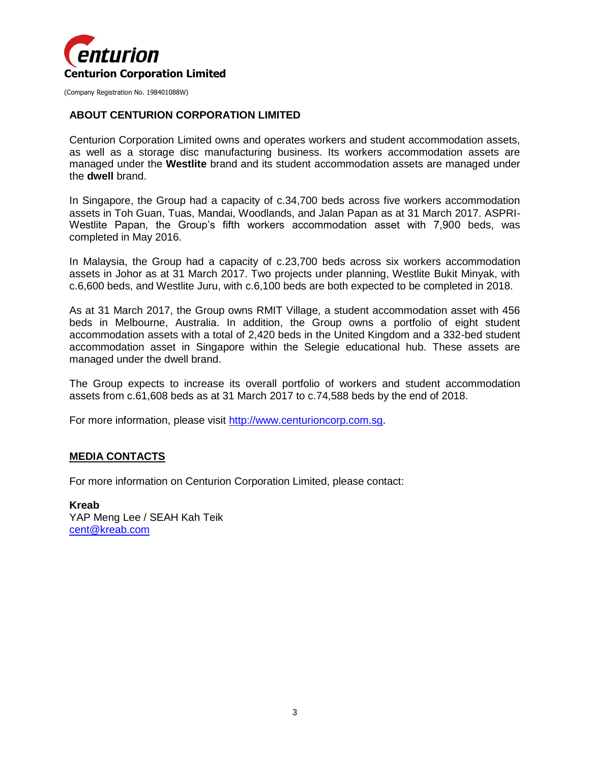

#### **ABOUT CENTURION CORPORATION LIMITED**

Centurion Corporation Limited owns and operates workers and student accommodation assets, as well as a storage disc manufacturing business. Its workers accommodation assets are managed under the **Westlite** brand and its student accommodation assets are managed under the **dwell** brand.

In Singapore, the Group had a capacity of c.34,700 beds across five workers accommodation assets in Toh Guan, Tuas, Mandai, Woodlands, and Jalan Papan as at 31 March 2017. ASPRI-Westlite Papan, the Group's fifth workers accommodation asset with 7,900 beds, was completed in May 2016.

In Malaysia, the Group had a capacity of c.23,700 beds across six workers accommodation assets in Johor as at 31 March 2017. Two projects under planning, Westlite Bukit Minyak, with c.6,600 beds, and Westlite Juru, with c.6,100 beds are both expected to be completed in 2018.

As at 31 March 2017, the Group owns RMIT Village, a student accommodation asset with 456 beds in Melbourne, Australia. In addition, the Group owns a portfolio of eight student accommodation assets with a total of 2,420 beds in the United Kingdom and a 332-bed student accommodation asset in Singapore within the Selegie educational hub. These assets are managed under the dwell brand.

The Group expects to increase its overall portfolio of workers and student accommodation assets from c.61,608 beds as at 31 March 2017 to c.74,588 beds by the end of 2018.

For more information, please visit [http://www.centurioncorp.com.sg.](http://www.centurioncorp.com.sg/)

#### **MEDIA CONTACTS**

For more information on Centurion Corporation Limited, please contact:

**Kreab** YAP Meng Lee / SEAH Kah Teik [cent@kreab.com](mailto:cent@kreab.com)